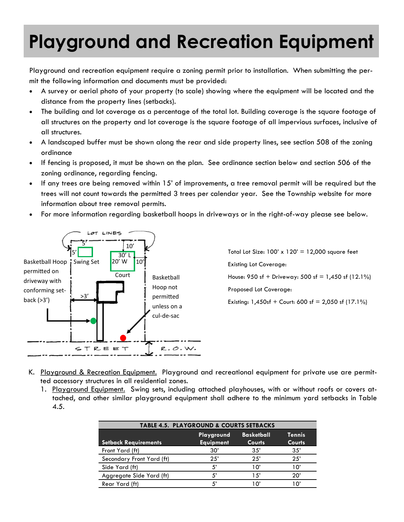## **Playground and Recreation Equipment**

Playground and recreation equipment require a zoning permit prior to installation. When submitting the permit the following information and documents must be provided:

- A survey or aerial photo of your property (to scale) showing where the equipment will be located and the distance from the property lines (setbacks).
- The building and lot coverage as a percentage of the total lot. Building coverage is the square footage of all structures on the property and lot coverage is the square footage of all impervious surfaces, inclusive of all structures.
- A landscaped buffer must be shown along the rear and side property lines, see section 508 of the zoning ordinance
- If fencing is proposed, it must be shown on the plan. See ordinance section below and section 506 of the zoning ordinance, regarding fencing.
- If any trees are being removed within 15' of improvements, a tree removal permit will be required but the trees will not count towards the permitted 3 trees per calendar year. See the Township website for more information about tree removal permits.
- For more information regarding basketball hoops in driveways or in the right-of-way please see below.



Total Lot Size:  $100' \times 120' = 12,000$  square feet Existing Lot Coverage: House:  $950$  sf + Driveway:  $500$  sf = 1,450 sf (12.1%) Proposed Lot Coverage: Existing:  $1,450$ sf + Court: 600 sf = 2,050 sf (17.1%)

- K. <u>Playground & Recreation Equipment.</u> Playground and recreational equipment for private use are permitted accessory structures in all residential zones.
	- 1. Playground Equipment. Swing sets, including attached playhouses, with or without roofs or covers attached, and other similar playground equipment shall adhere to the minimum yard setbacks in Table 4.5.

| <b>TABLE 4.5. PLAYGROUND &amp; COURTS SETBACKS</b> |                                |                                    |                                |
|----------------------------------------------------|--------------------------------|------------------------------------|--------------------------------|
| <b>Setback Requirements</b>                        | Playground<br><b>Equipment</b> | <b>Basketball</b><br><b>Courts</b> | <b>Tennis</b><br><b>Courts</b> |
| Front Yard (ft)                                    | 30'                            | 35'                                | 35'                            |
| Secondary Front Yard (ft)                          | 25'                            | 25'                                | 25'                            |
| Side Yard (ft)                                     | 5'                             | 10'                                | 10'                            |
| Aggregate Side Yard (ft)                           | 5'                             | 1.5'                               | 20'                            |
| Rear Yard (ft)                                     | 5'                             | 10                                 | יח ו                           |